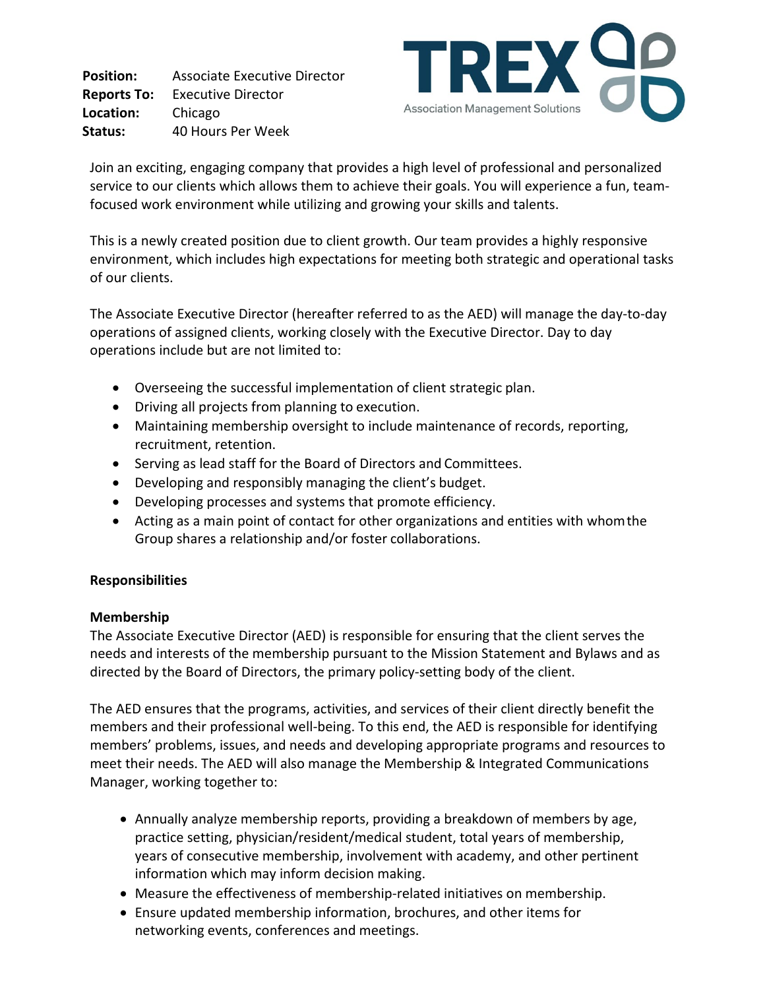**Position:** Associate Executive Director **Reports To:** Executive Director **Location:** Chicago **Status:** 40 Hours Per Week



Join an exciting, engaging company that provides a high level of professional and personalized service to our clients which allows them to achieve their goals. You will experience a fun, teamfocused work environment while utilizing and growing your skills and talents.

This is a newly created position due to client growth. Our team provides a highly responsive environment, which includes high expectations for meeting both strategic and operational tasks of our clients.

The Associate Executive Director (hereafter referred to as the AED) will manage the day-to-day operations of assigned clients, working closely with the Executive Director. Day to day operations include but are not limited to:

- Overseeing the successful implementation of client strategic plan.
- Driving all projects from planning to execution.
- Maintaining membership oversight to include maintenance of records, reporting, recruitment, retention.
- Serving as lead staff for the Board of Directors and Committees.
- Developing and responsibly managing the client's budget.
- Developing processes and systems that promote efficiency.
- Acting as a main point of contact for other organizations and entities with whomthe Group shares a relationship and/or foster collaborations.

### **Responsibilities**

### **Membership**

The Associate Executive Director (AED) is responsible for ensuring that the client serves the needs and interests of the membership pursuant to the Mission Statement and Bylaws and as directed by the Board of Directors, the primary policy-setting body of the client.

The AED ensures that the programs, activities, and services of their client directly benefit the members and their professional well-being. To this end, the AED is responsible for identifying members' problems, issues, and needs and developing appropriate programs and resources to meet their needs. The AED will also manage the Membership & Integrated Communications Manager, working together to:

- Annually analyze membership reports, providing a breakdown of members by age, practice setting, physician/resident/medical student, total years of membership, years of consecutive membership, involvement with academy, and other pertinent information which may inform decision making.
- Measure the effectiveness of membership-related initiatives on membership.
- Ensure updated membership information, brochures, and other items for networking events, conferences and meetings.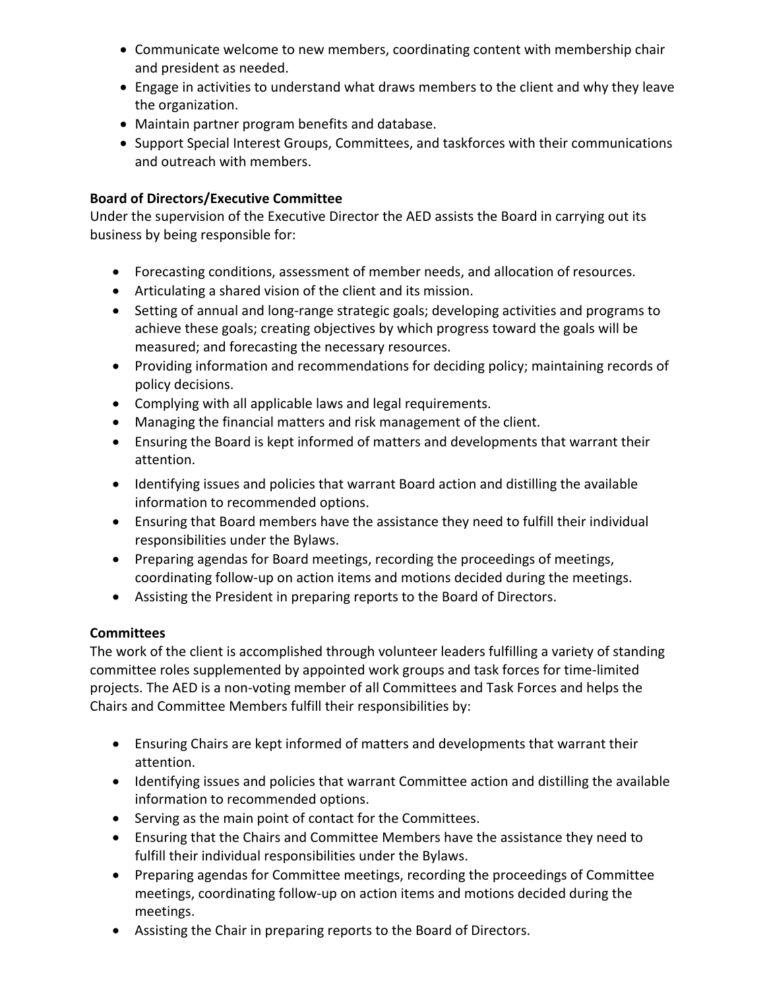- Communicate welcome to new members, coordinating content with membership chair and president as needed.
- Engage in activities to understand what draws members to the client and why they leave the organization.
- Maintain partner program benefits and database.
- Support Special Interest Groups, Committees, and taskforces with their communications and outreach with members.

# **Board of Directors/Executive Committee**

Under the supervision of the Executive Director the AED assists the Board in carrying out its business by being responsible for:

- Forecasting conditions, assessment of member needs, and allocation of resources.
- Articulating a shared vision of the client and its mission.
- Setting of annual and long-range strategic goals; developing activities and programs to achieve these goals; creating objectives by which progress toward the goals will be measured; and forecasting the necessary resources.
- Providing information and recommendations for deciding policy; maintaining records of policy decisions.
- Complying with all applicable laws and legal requirements.
- Managing the financial matters and risk management of the client.
- Ensuring the Board is kept informed of matters and developments that warrant their attention.
- Identifying issues and policies that warrant Board action and distilling the available information to recommended options.
- Ensuring that Board members have the assistance they need to fulfill their individual responsibilities under the Bylaws.
- Preparing agendas for Board meetings, recording the proceedings of meetings, coordinating follow-up on action items and motions decided during the meetings.
- Assisting the President in preparing reports to the Board of Directors.

# **Committees**

The work of the client is accomplished through volunteer leaders fulfilling a variety of standing committee roles supplemented by appointed work groups and task forces for time-limited projects. The AED is a non-voting member of all Committees and Task Forces and helps the Chairs and Committee Members fulfill their responsibilities by:

- Ensuring Chairs are kept informed of matters and developments that warrant their attention.
- Identifying issues and policies that warrant Committee action and distilling the available information to recommended options.
- Serving as the main point of contact for the Committees.
- Ensuring that the Chairs and Committee Members have the assistance they need to fulfill their individual responsibilities under the Bylaws.
- Preparing agendas for Committee meetings, recording the proceedings of Committee meetings, coordinating follow-up on action items and motions decided during the meetings.
- Assisting the Chair in preparing reports to the Board of Directors.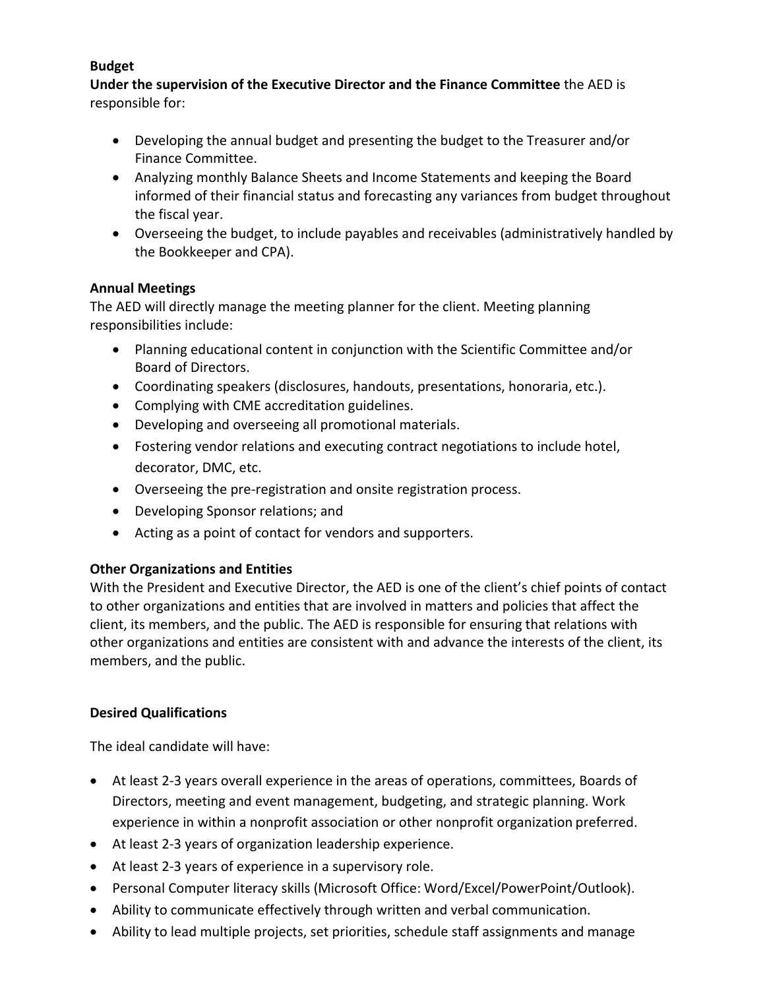### **Budget**

**Under the supervision of the Executive Director and the Finance Committee** the AED is responsible for:

- Developing the annual budget and presenting the budget to the Treasurer and/or Finance Committee.
- Analyzing monthly Balance Sheets and Income Statements and keeping the Board informed of their financial status and forecasting any variances from budget throughout the fiscal year.
- Overseeing the budget, to include payables and receivables (administratively handled by the Bookkeeper and CPA).

### **Annual Meetings**

The AED will directly manage the meeting planner for the client. Meeting planning responsibilities include:

- Planning educational content in conjunction with the Scientific Committee and/or Board of Directors.
- Coordinating speakers (disclosures, handouts, presentations, honoraria, etc.).
- Complying with CME accreditation guidelines.
- Developing and overseeing all promotional materials.
- Fostering vendor relations and executing contract negotiations to include hotel, decorator, DMC, etc.
- Overseeing the pre-registration and onsite registration process.
- Developing Sponsor relations; and
- Acting as a point of contact for vendors and supporters.

# **Other Organizations and Entities**

With the President and Executive Director, the AED is one of the client's chief points of contact to other organizations and entities that are involved in matters and policies that affect the client, its members, and the public. The AED is responsible for ensuring that relations with other organizations and entities are consistent with and advance the interests of the client, its members, and the public.

# **Desired Qualifications**

The ideal candidate will have:

- At least 2-3 years overall experience in the areas of operations, committees, Boards of Directors, meeting and event management, budgeting, and strategic planning. Work experience in within a nonprofit association or other nonprofit organization preferred.
- At least 2-3 years of organization leadership experience.
- At least 2-3 years of experience in a supervisory role.
- Personal Computer literacy skills (Microsoft Office: Word/Excel/PowerPoint/Outlook).
- Ability to communicate effectively through written and verbal communication.
- Ability to lead multiple projects, set priorities, schedule staff assignments and manage